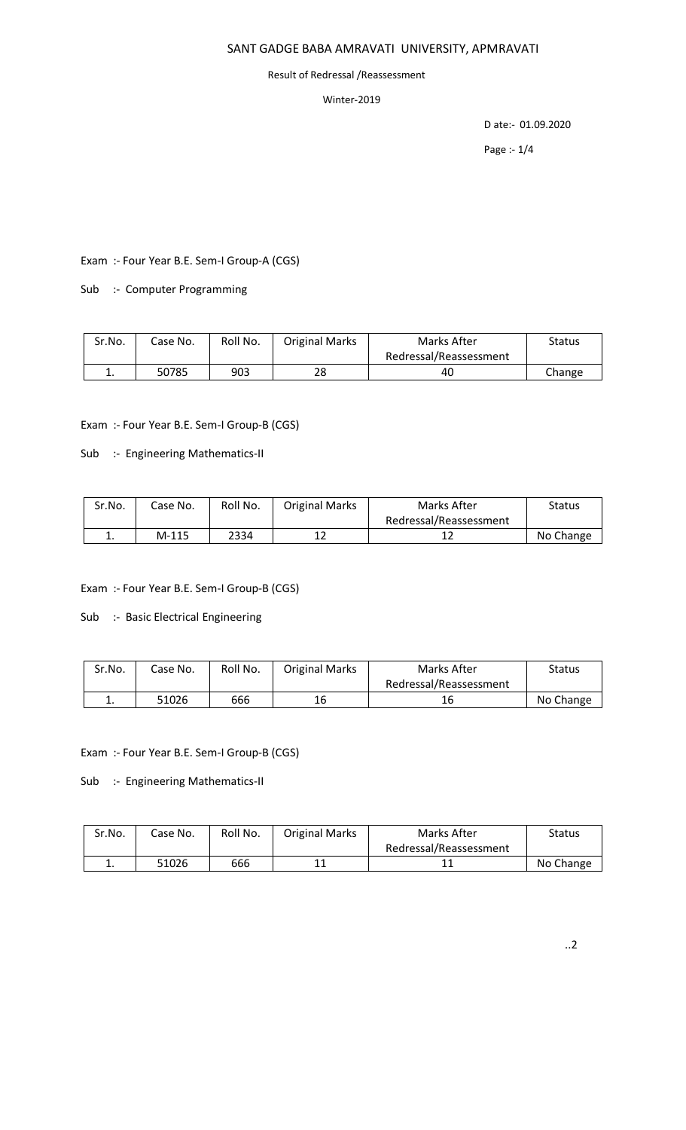## SANT GADGE BABA AMRAVATI UNIVERSITY, APMRAVATI

## Result of Redressal /Reassessment

## Winter-2019

D ate:- 01.09.2020

Page :- 1/4

Exam :- Four Year B.E. Sem-I Group-A (CGS)

Sub :- Computer Programming

| Sr.No. | Case No. | Roll No. | <b>Original Marks</b> | Marks After            | <b>Status</b> |
|--------|----------|----------|-----------------------|------------------------|---------------|
|        |          |          |                       | Redressal/Reassessment |               |
| . .    | 50785    | 903      | 28                    | 40                     | Change        |

Exam :- Four Year B.E. Sem-I Group-B (CGS)

Sub :- Engineering Mathematics-II

| Sr.No. | Case No. | Roll No. | <b>Original Marks</b> | Marks After            | <b>Status</b> |
|--------|----------|----------|-----------------------|------------------------|---------------|
|        |          |          |                       | Redressal/Reassessment |               |
| . .    | $M-115$  | 2334     |                       |                        | No Change     |

Exam :- Four Year B.E. Sem-I Group-B (CGS)

Sub :- Basic Electrical Engineering

| Sr.No. | Case No. | Roll No. | <b>Original Marks</b> | Marks After            | Status    |
|--------|----------|----------|-----------------------|------------------------|-----------|
|        |          |          |                       | Redressal/Reassessment |           |
| ∸.     | 51026    | 666      | 16                    |                        | No Change |

Exam :- Four Year B.E. Sem-I Group-B (CGS)

Sub :- Engineering Mathematics-II

| Sr.No. | Case No. | Roll No. | <b>Original Marks</b> | Marks After            | Status    |
|--------|----------|----------|-----------------------|------------------------|-----------|
|        |          |          |                       | Redressal/Reassessment |           |
| . .    | 51026    | 666      |                       | ᆠ                      | No Change |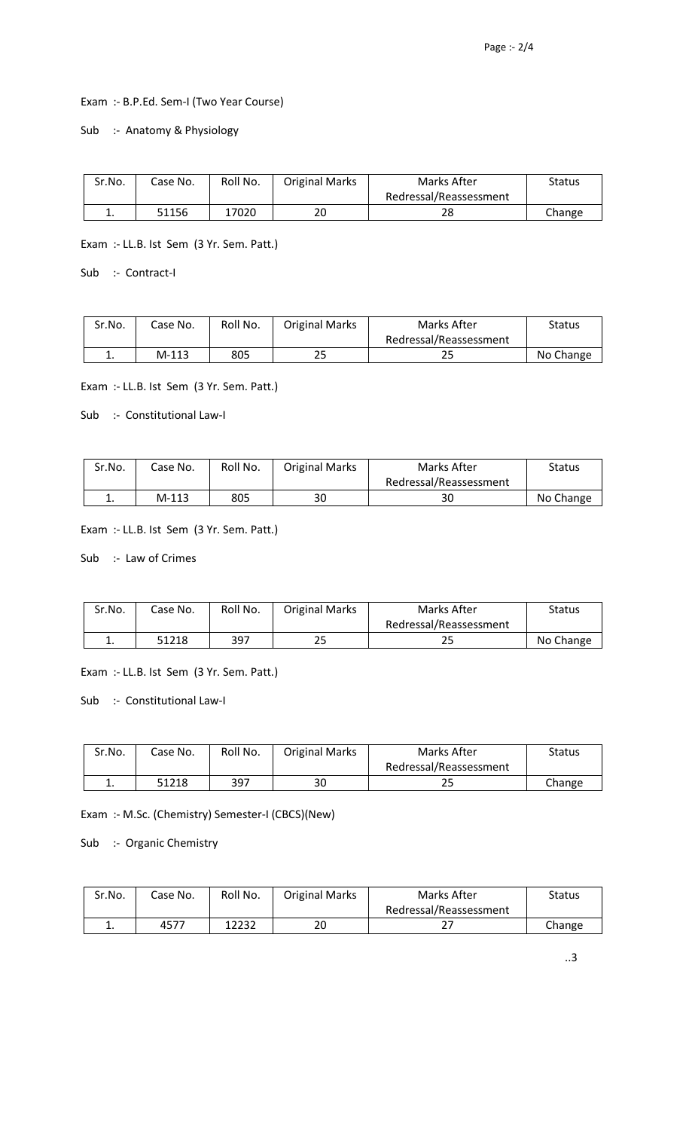Exam :- B.P.Ed. Sem-I (Two Year Course)

Sub :- Anatomy & Physiology

| Sr.No.   | Case No. | Roll No. | <b>Original Marks</b> | Marks After            | <b>Status</b> |
|----------|----------|----------|-----------------------|------------------------|---------------|
|          |          |          |                       | Redressal/Reassessment |               |
| <b>.</b> | 51156    | 17020    | 20                    | 28                     | Change        |

Exam :- LL.B. Ist Sem (3 Yr. Sem. Patt.)

Sub :- Contract-I

| Sr.No. | Case No. | Roll No. | <b>Original Marks</b> | Marks After            | Status    |
|--------|----------|----------|-----------------------|------------------------|-----------|
|        |          |          |                       | Redressal/Reassessment |           |
| . .    | $M-113$  | 805      | 25                    | دے                     | No Change |

Exam :- LL.B. Ist Sem (3 Yr. Sem. Patt.)

Sub :- Constitutional Law-I

| Sr.No. | Case No. | Roll No. | <b>Original Marks</b> | Marks After            | Status    |
|--------|----------|----------|-----------------------|------------------------|-----------|
|        |          |          |                       | Redressal/Reassessment |           |
| . .    | $M-113$  | 805      | 30                    | 30                     | No Change |

Exam :- LL.B. Ist Sem (3 Yr. Sem. Patt.)

Sub :- Law of Crimes

| Sr.No.   | Case No. | Roll No. | <b>Original Marks</b> | Marks After            | Status    |
|----------|----------|----------|-----------------------|------------------------|-----------|
|          |          |          |                       | Redressal/Reassessment |           |
| <b>.</b> | 51218    | 397      | 25                    | 25                     | No Change |

Exam :- LL.B. Ist Sem (3 Yr. Sem. Patt.)

Sub :- Constitutional Law-I

| Sr.No. | Case No. | Roll No. | <b>Original Marks</b> | Marks After            | Status |
|--------|----------|----------|-----------------------|------------------------|--------|
|        |          |          |                       | Redressal/Reassessment |        |
| . .    | 51218    | 397      | 30                    | دے                     | Change |

Exam :- M.Sc. (Chemistry) Semester-I (CBCS)(New)

Sub :- Organic Chemistry

| Sr.No.   | Case No. | Roll No. | <b>Original Marks</b> | Marks After            | Status |
|----------|----------|----------|-----------------------|------------------------|--------|
|          |          |          |                       | Redressal/Reassessment |        |
| <b>.</b> | 4577     | 12232    | 20                    | ، ے                    | Change |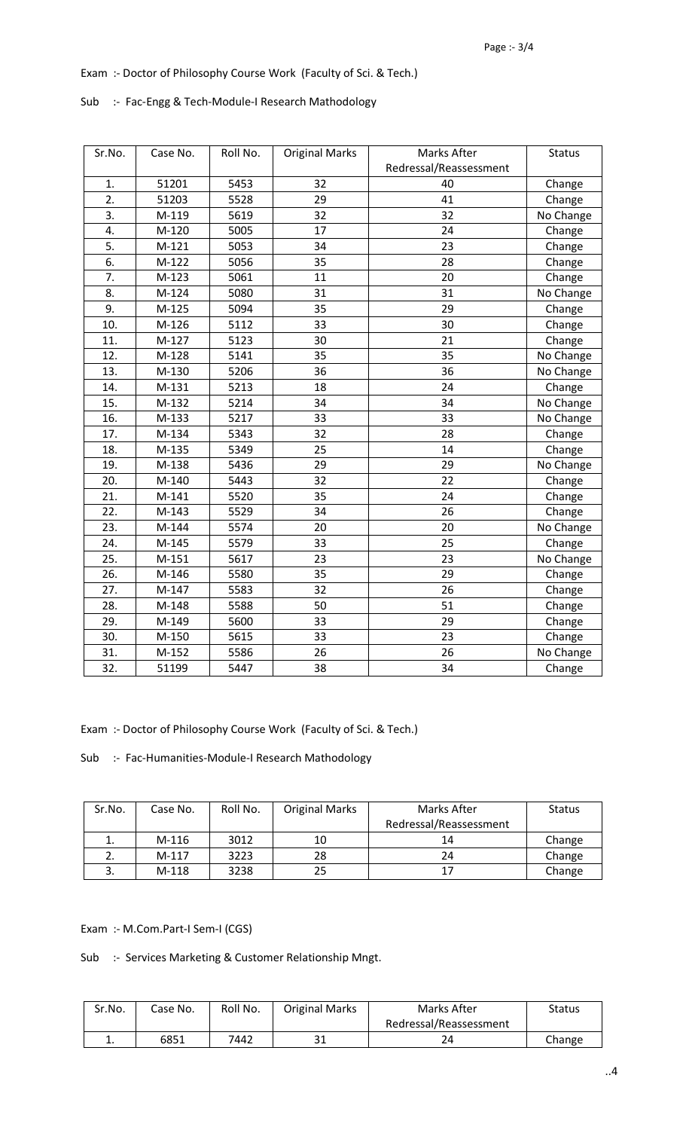Exam :- Doctor of Philosophy Course Work (Faculty of Sci. & Tech.)

| :- Fac-Engg & Tech-Module-I Research Mathodology<br>Sub |  |
|---------------------------------------------------------|--|
|---------------------------------------------------------|--|

| Sr.No.           | Case No. | Roll No. | <b>Original Marks</b> | Marks After            | <b>Status</b> |
|------------------|----------|----------|-----------------------|------------------------|---------------|
|                  |          |          |                       | Redressal/Reassessment |               |
| 1.               | 51201    | 5453     | 32                    | 40                     | Change        |
| 2.               | 51203    | 5528     | 29                    | 41                     | Change        |
| 3.               | M-119    | 5619     | 32                    | 32                     | No Change     |
| 4.               | $M-120$  | 5005     | 17                    | 24                     | Change        |
| $\overline{5}$ . | $M-121$  | 5053     | 34                    | 23                     | Change        |
| 6.               | $M-122$  | 5056     | 35                    | 28                     | Change        |
| 7.               | $M-123$  | 5061     | 11                    | 20                     | Change        |
| 8.               | $M-124$  | 5080     | 31                    | 31                     | No Change     |
| 9.               | $M-125$  | 5094     | 35                    | 29                     | Change        |
| 10.              | $M-126$  | 5112     | 33                    | 30                     | Change        |
| 11.              | $M-127$  | 5123     | 30                    | 21                     | Change        |
| 12.              | $M-128$  | 5141     | 35                    | 35                     | No Change     |
| 13.              | $M-130$  | 5206     | 36                    | 36                     | No Change     |
| 14.              | $M-131$  | 5213     | 18                    | 24                     | Change        |
| 15.              | $M-132$  | 5214     | 34                    | 34                     | No Change     |
| 16.              | $M-133$  | 5217     | 33                    | 33                     | No Change     |
| 17.              | M-134    | 5343     | 32                    | 28                     | Change        |
| 18.              | $M-135$  | 5349     | 25                    | 14                     | Change        |
| 19.              | M-138    | 5436     | 29                    | 29                     | No Change     |
| 20.              | $M-140$  | 5443     | 32                    | 22                     | Change        |
| 21.              | $M-141$  | 5520     | 35                    | 24                     | Change        |
| 22.              | $M-143$  | 5529     | 34                    | 26                     | Change        |
| 23.              | $M-144$  | 5574     | 20                    | 20                     | No Change     |
| 24.              | $M-145$  | 5579     | 33                    | 25                     | Change        |
| 25.              | $M-151$  | 5617     | 23                    | 23                     | No Change     |
| 26.              | M-146    | 5580     | 35                    | 29                     | Change        |
| 27.              | $M-147$  | 5583     | 32                    | 26                     | Change        |
| 28.              | $M-148$  | 5588     | 50                    | 51                     | Change        |
| 29.              | M-149    | 5600     | 33                    | 29                     | Change        |
| 30.              | $M-150$  | 5615     | 33                    | 23                     | Change        |
| 31.              | $M-152$  | 5586     | 26                    | 26                     | No Change     |
| 32.              | 51199    | 5447     | 38                    | 34                     | Change        |

Exam :- Doctor of Philosophy Course Work (Faculty of Sci. & Tech.)

Sub :- Fac-Humanities-Module-I Research Mathodology

| Sr.No. | Case No. | Roll No. | <b>Original Marks</b> | Marks After            | <b>Status</b> |
|--------|----------|----------|-----------------------|------------------------|---------------|
|        |          |          |                       | Redressal/Reassessment |               |
|        | $M-116$  | 3012     | 10                    | 14                     | Change        |
|        | $M-117$  | 3223     | 28                    | 24                     | Change        |
|        | M-118    | 3238     | 25                    | 17                     | Change        |

Exam :- M.Com.Part-I Sem-I (CGS)

Sub :- Services Marketing & Customer Relationship Mngt.

| Sr.No. | Case No. | Roll No. | <b>Original Marks</b> | Marks After            | Status |
|--------|----------|----------|-----------------------|------------------------|--------|
|        |          |          |                       | Redressal/Reassessment |        |
| ᆠ.     | 6851     | 7442     | ⊥ر                    |                        | Change |